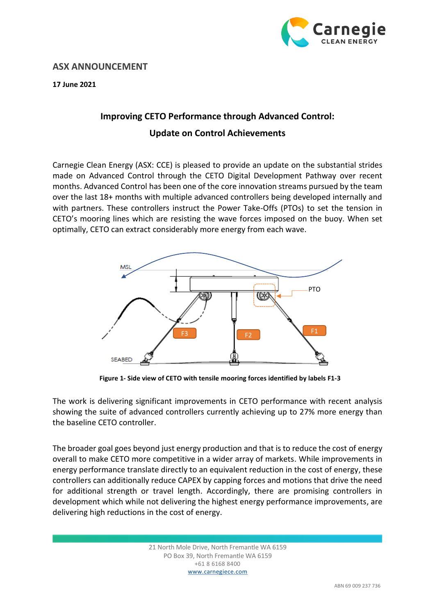

## **ASX ANNOUNCEMENT**

**17 June 2021**

## **Improving CETO Performance through Advanced Control: Update on Control Achievements**

Carnegie Clean Energy (ASX: CCE) is pleased to provide an update on the substantial strides made on Advanced Control through the CETO Digital Development Pathway over recent months. Advanced Control has been one of the core innovation streams pursued by the team over the last 18+ months with multiple advanced controllers being developed internally and with partners. These controllers instruct the Power Take-Offs (PTOs) to set the tension in CETO's mooring lines which are resisting the wave forces imposed on the buoy. When set optimally, CETO can extract considerably more energy from each wave.



**Figure 1- Side view of CETO with tensile mooring forces identified by labels F1-3**

The work is delivering significant improvements in CETO performance with recent analysis showing the suite of advanced controllers currently achieving up to 27% more energy than the baseline CETO controller.

The broader goal goes beyond just energy production and that is to reduce the cost of energy overall to make CETO more competitive in a wider array of markets. While improvements in energy performance translate directly to an equivalent reduction in the cost of energy, these controllers can additionally reduce CAPEX by capping forces and motions that drive the need for additional strength or travel length. Accordingly, there are promising controllers in development which while not delivering the highest energy performance improvements, are delivering high reductions in the cost of energy.

> 21 North Mole Drive, North Fremantle WA 6159 PO Box 39, North Fremantle WA 6159 +61 8 6168 8400 www.carnegiece.com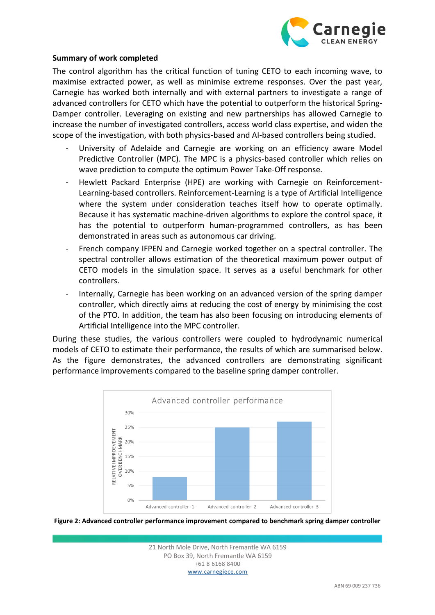

## **Summary of work completed**

The control algorithm has the critical function of tuning CETO to each incoming wave, to maximise extracted power, as well as minimise extreme responses. Over the past year, Carnegie has worked both internally and with external partners to investigate a range of advanced controllers for CETO which have the potential to outperform the historical Spring-Damper controller. Leveraging on existing and new partnerships has allowed Carnegie to increase the number of investigated controllers, access world class expertise, and widen the scope of the investigation, with both physics-based and AI-based controllers being studied.

- University of Adelaide and Carnegie are working on an efficiency aware Model Predictive Controller (MPC). The MPC is a physics-based controller which relies on wave prediction to compute the optimum Power Take-Off response.
- Hewlett Packard Enterprise (HPE) are working with Carnegie on Reinforcement-Learning-based controllers. Reinforcement-Learning is a type of Artificial Intelligence where the system under consideration teaches itself how to operate optimally. Because it has systematic machine-driven algorithms to explore the control space, it has the potential to outperform human-programmed controllers, as has been demonstrated in areas such as autonomous car driving.
- French company IFPEN and Carnegie worked together on a spectral controller. The spectral controller allows estimation of the theoretical maximum power output of CETO models in the simulation space. It serves as a useful benchmark for other controllers.
- Internally, Carnegie has been working on an advanced version of the spring damper controller, which directly aims at reducing the cost of energy by minimising the cost of the PTO. In addition, the team has also been focusing on introducing elements of Artificial Intelligence into the MPC controller.

During these studies, the various controllers were coupled to hydrodynamic numerical models of CETO to estimate their performance, the results of which are summarised below. As the figure demonstrates, the advanced controllers are demonstrating significant performance improvements compared to the baseline spring damper controller.





21 North Mole Drive, North Fremantle WA 6159 PO Box 39, North Fremantle WA 6159 +61 8 6168 8400 www.carnegiece.com